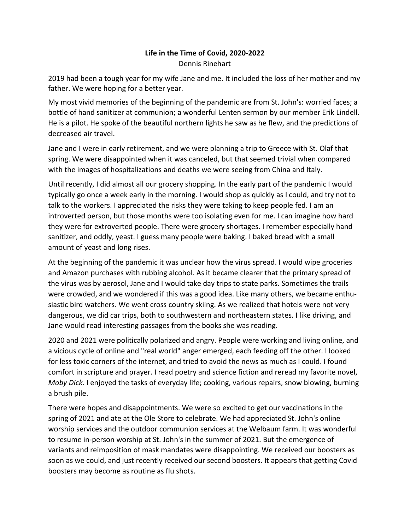## **Life in the Time of Covid, 2020-2022** Dennis Rinehart

2019 had been a tough year for my wife Jane and me. It included the loss of her mother and my father. We were hoping for a better year.

My most vivid memories of the beginning of the pandemic are from St. John's: worried faces; a bottle of hand sanitizer at communion; a wonderful Lenten sermon by our member Erik Lindell. He is a pilot. He spoke of the beautiful northern lights he saw as he flew, and the predictions of decreased air travel.

Jane and I were in early retirement, and we were planning a trip to Greece with St. Olaf that spring. We were disappointed when it was canceled, but that seemed trivial when compared with the images of hospitalizations and deaths we were seeing from China and Italy.

Until recently, I did almost all our grocery shopping. In the early part of the pandemic I would typically go once a week early in the morning. I would shop as quickly as I could, and try not to talk to the workers. I appreciated the risks they were taking to keep people fed. I am an introverted person, but those months were too isolating even for me. I can imagine how hard they were for extroverted people. There were grocery shortages. I remember especially hand sanitizer, and oddly, yeast. I guess many people were baking. I baked bread with a small amount of yeast and long rises.

At the beginning of the pandemic it was unclear how the virus spread. I would wipe groceries and Amazon purchases with rubbing alcohol. As it became clearer that the primary spread of the virus was by aerosol, Jane and I would take day trips to state parks. Sometimes the trails were crowded, and we wondered if this was a good idea. Like many others, we became enthusiastic bird watchers. We went cross country skiing. As we realized that hotels were not very dangerous, we did car trips, both to southwestern and northeastern states. I like driving, and Jane would read interesting passages from the books she was reading.

2020 and 2021 were politically polarized and angry. People were working and living online, and a vicious cycle of online and "real world" anger emerged, each feeding off the other. I looked for less toxic corners of the internet, and tried to avoid the news as much as I could. I found comfort in scripture and prayer. I read poetry and science fiction and reread my favorite novel, *Moby Dick*. I enjoyed the tasks of everyday life; cooking, various repairs, snow blowing, burning a brush pile.

There were hopes and disappointments. We were so excited to get our vaccinations in the spring of 2021 and ate at the Ole Store to celebrate. We had appreciated St. John's online worship services and the outdoor communion services at the Welbaum farm. It was wonderful to resume in-person worship at St. John's in the summer of 2021. But the emergence of variants and reimposition of mask mandates were disappointing. We received our boosters as soon as we could, and just recently received our second boosters. It appears that getting Covid boosters may become as routine as flu shots.